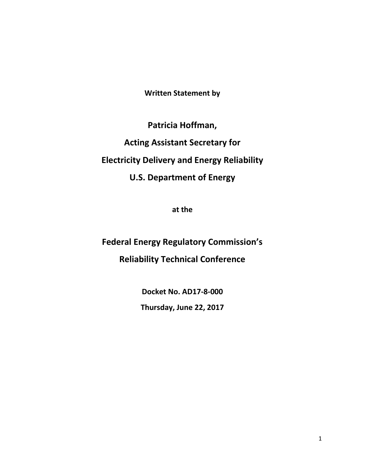**Written Statement by** 

**Patricia Hoffman, Acting Assistant Secretary for Electricity Delivery and Energy Reliability U.S. Department of Energy**

**at the**

**Federal Energy Regulatory Commission's Reliability Technical Conference**

> **Docket No. AD17-8-000 Thursday, June 22, 2017**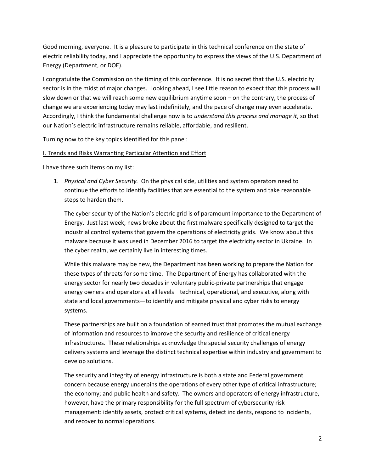Good morning, everyone. It is a pleasure to participate in this technical conference on the state of electric reliability today, and I appreciate the opportunity to express the views of the U.S. Department of Energy (Department, or DOE).

I congratulate the Commission on the timing of this conference. It is no secret that the U.S. electricity sector is in the midst of major changes. Looking ahead, I see little reason to expect that this process will slow down or that we will reach some new equilibrium anytime soon – on the contrary, the process of change we are experiencing today may last indefinitely, and the pace of change may even accelerate. Accordingly, I think the fundamental challenge now is to *understand this process and manage it*, so that our Nation's electric infrastructure remains reliable, affordable, and resilient.

Turning now to the key topics identified for this panel:

## I. Trends and Risks Warranting Particular Attention and Effort

I have three such items on my list:

1. *Physical and Cyber Security.* On the physical side, utilities and system operators need to continue the efforts to identify facilities that are essential to the system and take reasonable steps to harden them.

The cyber security of the Nation's electric grid is of paramount importance to the Department of Energy. Just last week, news broke about the first malware specifically designed to target the industrial control systems that govern the operations of electricity grids. We know about this malware because it was used in December 2016 to target the electricity sector in Ukraine. In the cyber realm, we certainly live in interesting times.

While this malware may be new, the Department has been working to prepare the Nation for these types of threats for some time. The Department of Energy has collaborated with the energy sector for nearly two decades in voluntary public-private partnerships that engage energy owners and operators at all levels—technical, operational, and executive, along with state and local governments—to identify and mitigate physical and cyber risks to energy systems.

These partnerships are built on a foundation of earned trust that promotes the mutual exchange of information and resources to improve the security and resilience of critical energy infrastructures. These relationships acknowledge the special security challenges of energy delivery systems and leverage the distinct technical expertise within industry and government to develop solutions.

The security and integrity of energy infrastructure is both a state and Federal government concern because energy underpins the operations of every other type of critical infrastructure; the economy; and public health and safety. The owners and operators of energy infrastructure, however, have the primary responsibility for the full spectrum of cybersecurity risk management: identify assets, protect critical systems, detect incidents, respond to incidents, and recover to normal operations.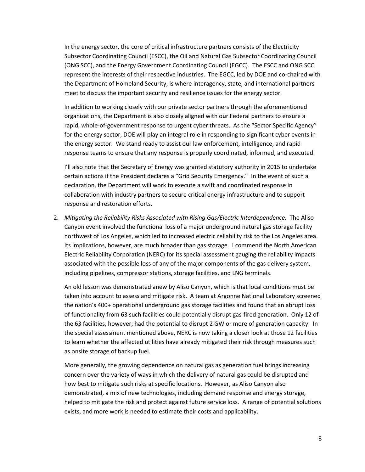In the energy sector, the core of critical infrastructure partners consists of the Electricity Subsector Coordinating Council (ESCC), the Oil and Natural Gas Subsector Coordinating Council (ONG SCC), and the Energy Government Coordinating Council (EGCC). The ESCC and ONG SCC represent the interests of their respective industries. The EGCC, led by DOE and co-chaired with the Department of Homeland Security, is where interagency, state, and international partners meet to discuss the important security and resilience issues for the energy sector.

In addition to working closely with our private sector partners through the aforementioned organizations, the Department is also closely aligned with our Federal partners to ensure a rapid, whole-of-government response to urgent cyber threats. As the "Sector Specific Agency" for the energy sector, DOE will play an integral role in responding to significant cyber events in the energy sector. We stand ready to assist our law enforcement, intelligence, and rapid response teams to ensure that any response is properly coordinated, informed, and executed.

I'll also note that the Secretary of Energy was granted statutory authority in 2015 to undertake certain actions if the President declares a "Grid Security Emergency." In the event of such a declaration, the Department will work to execute a swift and coordinated response in collaboration with industry partners to secure critical energy infrastructure and to support response and restoration efforts.

2. *Mitigating the Reliability Risks Associated with Rising Gas/Electric Interdependence.* The Aliso Canyon event involved the functional loss of a major underground natural gas storage facility northwest of Los Angeles, which led to increased electric reliability risk to the Los Angeles area. Its implications, however, are much broader than gas storage. I commend the North American Electric Reliability Corporation (NERC) for its special assessment gauging the reliability impacts associated with the possible loss of any of the major components of the gas delivery system, including pipelines, compressor stations, storage facilities, and LNG terminals.

An old lesson was demonstrated anew by Aliso Canyon, which is that local conditions must be taken into account to assess and mitigate risk. A team at Argonne National Laboratory screened the nation's 400+ operational underground gas storage facilities and found that an abrupt loss of functionality from 63 such facilities could potentially disrupt gas-fired generation. Only 12 of the 63 facilities, however, had the potential to disrupt 2 GW or more of generation capacity. In the special assessment mentioned above, NERC is now taking a closer look at those 12 facilities to learn whether the affected utilities have already mitigated their risk through measures such as onsite storage of backup fuel.

More generally, the growing dependence on natural gas as generation fuel brings increasing concern over the variety of ways in which the delivery of natural gas could be disrupted and how best to mitigate such risks at specific locations. However, as Aliso Canyon also demonstrated, a mix of new technologies, including demand response and energy storage, helped to mitigate the risk and protect against future service loss. A range of potential solutions exists, and more work is needed to estimate their costs and applicability.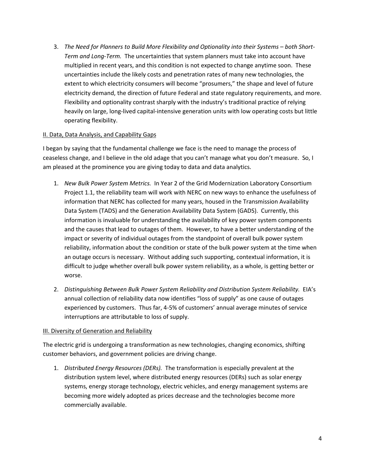3. *The Need for Planners to Build More Flexibility and Optionality into their Systems – both Short-Term and Long-Term.* The uncertainties that system planners must take into account have multiplied in recent years, and this condition is not expected to change anytime soon. These uncertainties include the likely costs and penetration rates of many new technologies, the extent to which electricity consumers will become "prosumers," the shape and level of future electricity demand, the direction of future Federal and state regulatory requirements, and more. Flexibility and optionality contrast sharply with the industry's traditional practice of relying heavily on large, long-lived capital-intensive generation units with low operating costs but little operating flexibility.

## II. Data, Data Analysis, and Capability Gaps

I began by saying that the fundamental challenge we face is the need to manage the process of ceaseless change, and I believe in the old adage that you can't manage what you don't measure. So, I am pleased at the prominence you are giving today to data and data analytics.

- 1. *New Bulk Power System Metrics.* In Year 2 of the Grid Modernization Laboratory Consortium Project 1.1, the reliability team will work with NERC on new ways to enhance the usefulness of information that NERC has collected for many years, housed in the Transmission Availability Data System (TADS) and the Generation Availability Data System (GADS). Currently, this information is invaluable for understanding the availability of key power system components and the causes that lead to outages of them. However, to have a better understanding of the impact or severity of individual outages from the standpoint of overall bulk power system reliability, information about the condition or state of the bulk power system at the time when an outage occurs is necessary. Without adding such supporting, contextual information, it is difficult to judge whether overall bulk power system reliability, as a whole, is getting better or worse.
- 2. *Distinguishing Between Bulk Power System Reliability and Distribution System Reliability.* EIA's annual collection of reliability data now identifies "loss of supply" as one cause of outages experienced by customers. Thus far, 4-5% of customers' annual average minutes of service interruptions are attributable to loss of supply.

## **III. Diversity of Generation and Reliability**

The electric grid is undergoing a transformation as new technologies, changing economics, shifting customer behaviors, and government policies are driving change.

1. *Distributed Energy Resources (DERs).* The transformation is especially prevalent at the distribution system level, where distributed energy resources (DERs) such as solar energy systems, energy storage technology, electric vehicles, and energy management systems are becoming more widely adopted as prices decrease and the technologies become more commercially available.